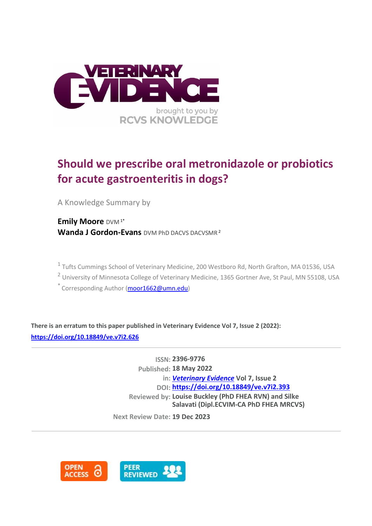

# **Should we prescribe oral metronidazole or probiotics for acute gastroenteritis in dogs?**

A Knowledge Summary by

**Emily Moore** DVM 1\* **Wanda J Gordon-Evans** DVM PhD DACVS DACVSMR <sup>2</sup>

<sup>1</sup> Tufts Cummings School of Veterinary Medicine, 200 Westboro Rd, North Grafton, MA 01536, USA

<sup>2</sup> University of Minnesota College of Veterinary Medicine, 1365 Gortner Ave, St Paul, MN 55108, USA

 $*$  Corresponding Author [\(moor1662@umn.edu\)](moor1662@umn.edu)

**There is an erratum to this paper published in Veterinary Evidence Vol 7, Issue 2 (2022): <https://doi.org/10.18849/ve.v7i2.626>**

> **ISSN: 2396-9776 Published: 18 May 2022 in:** *[Veterinary Evidence](https://veterinaryevidence.org/index.php/ve)* **Vol 7, Issue 2 DOI: <https://doi.org/10.18849/ve.v7i2.393> Reviewed by: Louise Buckley (PhD FHEA RVN) and Silke Salavati (Dipl.ECVIM-CA PhD FHEA MRCVS)**

**Next Review Date: 19 Dec 2023**

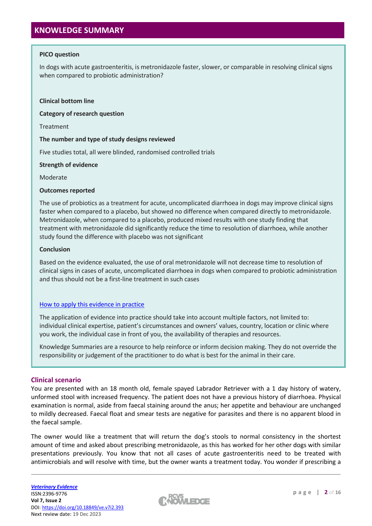## **KNOWLEDGE SUMMARY**

## **PICO question**

In dogs with acute gastroenteritis, is metronidazole faster, slower, or comparable in resolving clinical signs when compared to probiotic administration?

#### **Clinical bottom line**

**Category of research question**

Treatment

## **The number and type of study designs reviewed**

Five studies total, all were blinded, randomised controlled trials

#### **Strength of evidence**

Moderate

## **Outcomes reported**

The use of probiotics as a treatment for acute, uncomplicated diarrhoea in dogs may improve clinical signs faster when compared to a placebo, but showed no difference when compared directly to metronidazole. Metronidazole, when compared to a placebo, produced mixed results with one study finding that treatment with metronidazole did significantly reduce the time to resolution of diarrhoea, while another study found the difference with placebo was not significant

## **Conclusion**

Based on the evidence evaluated, the use of oral metronidazole will not decrease time to resolution of clinical signs in cases of acute, uncomplicated diarrhoea in dogs when compared to probiotic administration and thus should not be a first-line treatment in such cases

## [How to apply this evidence in practice](https://learn.rcvsknowledge.org/mod/book/view.php?id=50)

The application of evidence into practice should take into account multiple factors, not limited to: individual clinical expertise, patient's circumstances and owners' values, country, location or clinic where you work, the individual case in front of you, the availability of therapies and resources.

Knowledge Summaries are a resource to help reinforce or inform decision making. They do not override the responsibility or judgement of the practitioner to do what is best for the animal in their care.

## **Clinical scenario**

You are presented with an 18 month old, female spayed Labrador Retriever with a 1 day history of watery, unformed stool with increased frequency. The patient does not have a previous history of diarrhoea. Physical examination is normal, aside from faecal staining around the anus; her appetite and behaviour are unchanged to mildly decreased. Faecal float and smear tests are negative for parasites and there is no apparent blood in the faecal sample.

The owner would like a treatment that will return the dog's stools to normal consistency in the shortest amount of time and asked about prescribing metronidazole, as this has worked for her other dogs with similar presentations previously. You know that not all cases of acute gastroenteritis need to be treated with antimicrobials and will resolve with time, but the owner wants a treatment today. You wonder if prescribing a

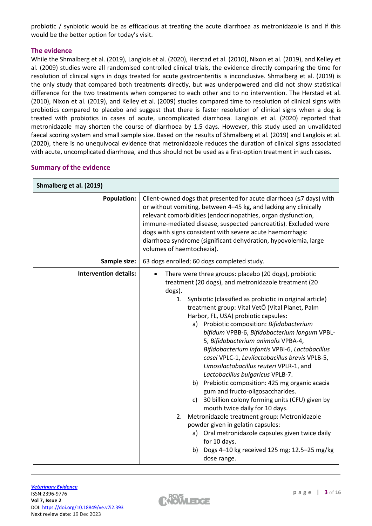probiotic / synbiotic would be as efficacious at treating the acute diarrhoea as metronidazole is and if this would be the better option for today's visit.

## **The evidence**

While the Shmalberg et al. (2019), Langlois et al. (2020), Herstad et al. (2010), Nixon et al. (2019), and Kelley et al. (2009) studies were all randomised controlled clinical trials, the evidence directly comparing the time for resolution of clinical signs in dogs treated for acute gastroenteritis is inconclusive. Shmalberg et al. (2019) is the only study that compared both treatments directly, but was underpowered and did not show statistical difference for the two treatments when compared to each other and to no intervention. The Herstad et al. (2010), Nixon et al. (2019), and Kelley et al. (2009) studies compared time to resolution of clinical signs with probiotics compared to placebo and suggest that there is faster resolution of clinical signs when a dog is treated with probiotics in cases of acute, uncomplicated diarrhoea. Langlois et al. (2020) reported that metronidazole may shorten the course of diarrhoea by 1.5 days. However, this study used an unvalidated faecal scoring system and small sample size. Based on the results of Shmalberg et al. (2019) and Langlois et al. (2020), there is no unequivocal evidence that metronidazole reduces the duration of clinical signs associated with acute, uncomplicated diarrhoea, and thus should not be used as a first-option treatment in such cases.

| Shmalberg et al. (2019)      |                                                                                                                                                                                                                                                                                                                                                                                                                                                                                                                                                                                                                                                                                                                                                                                                                                                                                                                                                                                                                             |
|------------------------------|-----------------------------------------------------------------------------------------------------------------------------------------------------------------------------------------------------------------------------------------------------------------------------------------------------------------------------------------------------------------------------------------------------------------------------------------------------------------------------------------------------------------------------------------------------------------------------------------------------------------------------------------------------------------------------------------------------------------------------------------------------------------------------------------------------------------------------------------------------------------------------------------------------------------------------------------------------------------------------------------------------------------------------|
| <b>Population:</b>           | Client-owned dogs that presented for acute diarrhoea (≤7 days) with<br>or without vomiting, between 4-45 kg, and lacking any clinically<br>relevant comorbidities (endocrinopathies, organ dysfunction,<br>immune-mediated disease, suspected pancreatitis). Excluded were<br>dogs with signs consistent with severe acute haemorrhagic<br>diarrhoea syndrome (significant dehydration, hypovolemia, large<br>volumes of haemtochezia).                                                                                                                                                                                                                                                                                                                                                                                                                                                                                                                                                                                     |
| Sample size:                 | 63 dogs enrolled; 60 dogs completed study.                                                                                                                                                                                                                                                                                                                                                                                                                                                                                                                                                                                                                                                                                                                                                                                                                                                                                                                                                                                  |
| <b>Intervention details:</b> | There were three groups: placebo (20 dogs), probiotic<br>treatment (20 dogs), and metronidazole treatment (20<br>dogs).<br>Synbiotic (classified as probiotic in original article)<br>1.<br>treatment group: Vital VetÔ (Vital Planet, Palm<br>Harbor, FL, USA) probiotic capsules:<br>a) Probiotic composition: Bifidobacterium<br>bifidum VPBB-6, Bifidobacterium longum VPBL-<br>5, Bifidobacterium animalis VPBA-4,<br>Bifidobacterium infantis VPBI-6, Lactobacillus<br>casei VPLC-1, Levilactobacillus brevis VPLB-5,<br>Limosilactobacillus reuteri VPLR-1, and<br>Lactobacillus bulgaricus VPLB-7.<br>b) Prebiotic composition: 425 mg organic acacia<br>gum and fructo-oligosaccharides.<br>30 billion colony forming units (CFU) given by<br>c)<br>mouth twice daily for 10 days.<br>Metronidazole treatment group: Metronidazole<br>2.<br>powder given in gelatin capsules:<br>a) Oral metronidazole capsules given twice daily<br>for 10 days.<br>b) Dogs 4-10 kg received 125 mg; 12.5-25 mg/kg<br>dose range. |

## **Summary of the evidence**

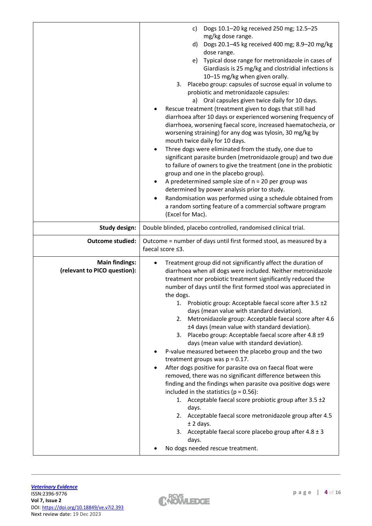|                                                       | Dogs 10.1-20 kg received 250 mg; 12.5-25<br>c)<br>mg/kg dose range.<br>Dogs 20.1-45 kg received 400 mg; 8.9-20 mg/kg<br>d)<br>dose range.<br>Typical dose range for metronidazole in cases of<br>e)<br>Giardiasis is 25 mg/kg and clostridial infections is<br>10-15 mg/kg when given orally.<br>Placebo group: capsules of sucrose equal in volume to<br>3.<br>probiotic and metronidazole capsules:<br>a) Oral capsules given twice daily for 10 days.<br>Rescue treatment (treatment given to dogs that still had<br>diarrhoea after 10 days or experienced worsening frequency of<br>diarrhoea, worsening faecal score, increased haematochezia, or<br>worsening straining) for any dog was tylosin, 30 mg/kg by<br>mouth twice daily for 10 days.<br>Three dogs were eliminated from the study, one due to<br>significant parasite burden (metronidazole group) and two due<br>to failure of owners to give the treatment (one in the probiotic<br>group and one in the placebo group).<br>A predetermined sample size of $n = 20$ per group was<br>determined by power analysis prior to study.<br>Randomisation was performed using a schedule obtained from<br>a random sorting feature of a commercial software program<br>(Excel for Mac). |
|-------------------------------------------------------|------------------------------------------------------------------------------------------------------------------------------------------------------------------------------------------------------------------------------------------------------------------------------------------------------------------------------------------------------------------------------------------------------------------------------------------------------------------------------------------------------------------------------------------------------------------------------------------------------------------------------------------------------------------------------------------------------------------------------------------------------------------------------------------------------------------------------------------------------------------------------------------------------------------------------------------------------------------------------------------------------------------------------------------------------------------------------------------------------------------------------------------------------------------------------------------------------------------------------------------------------|
| <b>Study design:</b>                                  | Double blinded, placebo controlled, randomised clinical trial.                                                                                                                                                                                                                                                                                                                                                                                                                                                                                                                                                                                                                                                                                                                                                                                                                                                                                                                                                                                                                                                                                                                                                                                       |
| <b>Outcome studied:</b>                               | Outcome = number of days until first formed stool, as measured by a<br>faecal score ≤3.                                                                                                                                                                                                                                                                                                                                                                                                                                                                                                                                                                                                                                                                                                                                                                                                                                                                                                                                                                                                                                                                                                                                                              |
| <b>Main findings:</b><br>(relevant to PICO question): | Treatment group did not significantly affect the duration of<br>diarrhoea when all dogs were included. Neither metronidazole<br>treatment nor probiotic treatment significantly reduced the<br>number of days until the first formed stool was appreciated in<br>the dogs.<br>1. Probiotic group: Acceptable faecal score after 3.5 ±2<br>days (mean value with standard deviation).<br>Metronidazole group: Acceptable faecal score after 4.6<br>2.<br>±4 days (mean value with standard deviation).<br>3. Placebo group: Acceptable faecal score after 4.8 ±9<br>days (mean value with standard deviation).<br>P-value measured between the placebo group and the two<br>treatment groups was $p = 0.17$ .<br>After dogs positive for parasite ova on faecal float were<br>removed, there was no significant difference between this<br>finding and the findings when parasite ova positive dogs were<br>included in the statistics ( $p = 0.56$ ):<br>1. Acceptable faecal score probiotic group after 3.5 ±2<br>days.<br>2. Acceptable faecal score metronidazole group after 4.5<br>$±$ 2 days.<br>3. Acceptable faecal score placebo group after $4.8 \pm 3$<br>days.<br>No dogs needed rescue treatment.                                      |

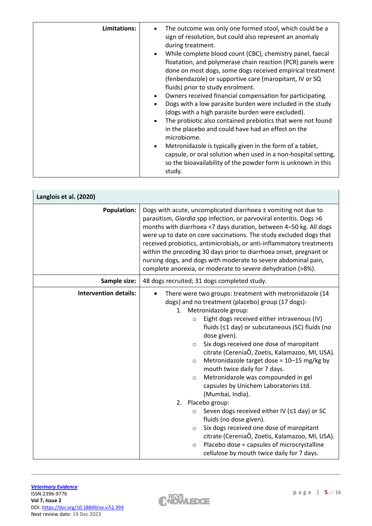| Limitations: | The outcome was only one formed stool, which could be a<br>sign of resolution, but could also represent an anomaly<br>during treatment.<br>While complete blood count (CBC), chemistry panel, faecal<br>floatation, and polymerase chain reaction (PCR) panels were<br>done on most dogs, some dogs received empirical treatment<br>(fenbendazole) or supportive care (maropitant, IV or SQ<br>fluids) prior to study enrolment.<br>Owners received financial compensation for participating.<br>Dogs with a low parasite burden were included in the study<br>(dogs with a high parasite burden were excluded).<br>The probiotic also contained prebiotics that were not found<br>in the placebo and could have had an effect on the<br>microbiome.<br>Metronidazole is typically given in the form of a tablet,<br>$\bullet$<br>capsule, or oral solution when used in a non-hospital setting,<br>so the bioavailability of the powder form is unknown in this |
|--------------|------------------------------------------------------------------------------------------------------------------------------------------------------------------------------------------------------------------------------------------------------------------------------------------------------------------------------------------------------------------------------------------------------------------------------------------------------------------------------------------------------------------------------------------------------------------------------------------------------------------------------------------------------------------------------------------------------------------------------------------------------------------------------------------------------------------------------------------------------------------------------------------------------------------------------------------------------------------|
|              | study.                                                                                                                                                                                                                                                                                                                                                                                                                                                                                                                                                                                                                                                                                                                                                                                                                                                                                                                                                           |

| Langlois et al. (2020)       |                                                                                                                                                                                                                                                                                                                                                                                                                                                                                                                                                                                                                                                                                                       |
|------------------------------|-------------------------------------------------------------------------------------------------------------------------------------------------------------------------------------------------------------------------------------------------------------------------------------------------------------------------------------------------------------------------------------------------------------------------------------------------------------------------------------------------------------------------------------------------------------------------------------------------------------------------------------------------------------------------------------------------------|
| <b>Population:</b>           | Dogs with acute, uncomplicated diarrhoea ± vomiting not due to<br>parasitism, Giardia spp infection, or parvoviral enteritis. Dogs >6<br>months with diarrhoea <7 days duration, between 4-50 kg. All dogs<br>were up to date on core vaccinations. The study excluded dogs that<br>received probiotics, antimicrobials, or anti-inflammatory treatments<br>within the preceding 30 days prior to diarrhoea onset, pregnant or<br>nursing dogs, and dogs with moderate to severe abdominal pain,<br>complete anorexia, or moderate to severe dehydration (>8%).                                                                                                                                       |
| Sample size:                 | 48 dogs recruited; 31 dogs completed study.                                                                                                                                                                                                                                                                                                                                                                                                                                                                                                                                                                                                                                                           |
| <b>Intervention details:</b> | There were two groups: treatment with metronidazole (14<br>dogs) and no treatment (placebo) group (17 dogs):<br>1. Metronidazole group:<br>Eight dogs received either intravenous (IV)<br>$\circ$<br>fluids (≤1 day) or subcutaneous (SC) fluids (no<br>dose given).<br>Six dogs received one dose of maropitant<br>$\circ$<br>citrate (CereniaÔ, Zoetis, Kalamazoo, MI, USA).<br>Metronidazole target dose = 10-15 mg/kg by<br>$\circ$<br>mouth twice daily for 7 days.<br>Metronidazole was compounded in gel<br>$\circ$<br>capsules by Unichem Laboratories Ltd.<br>(Mumbai, India).<br>Placebo group:<br>2.<br>Seven dogs received either IV (≤1 day) or SC<br>$\circ$<br>fluids (no dose given). |
|                              | Six dogs received one dose of maropitant<br>$\circ$<br>citrate (CereniaÔ, Zoetis, Kalamazoo, MI, USA).<br>Placebo dose = capsules of microcrystalline<br>$\circ$<br>cellulose by mouth twice daily for 7 days.                                                                                                                                                                                                                                                                                                                                                                                                                                                                                        |

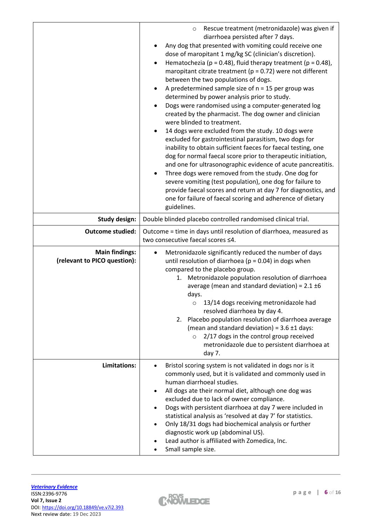|                                                       | Rescue treatment (metronidazole) was given if<br>O<br>diarrhoea persisted after 7 days.<br>Any dog that presented with vomiting could receive one<br>dose of maropitant 1 mg/kg SC (clinician's discretion).<br>Hematochezia (p = 0.48), fluid therapy treatment (p = 0.48),<br>$\bullet$<br>maropitant citrate treatment ( $p = 0.72$ ) were not different<br>between the two populations of dogs.<br>A predetermined sample size of $n = 15$ per group was<br>determined by power analysis prior to study.<br>Dogs were randomised using a computer-generated log<br>created by the pharmacist. The dog owner and clinician<br>were blinded to treatment.<br>14 dogs were excluded from the study. 10 dogs were<br>excluded for gastrointestinal parasitism, two dogs for<br>inability to obtain sufficient faeces for faecal testing, one<br>dog for normal faecal score prior to therapeutic initiation,<br>and one for ultrasonographic evidence of acute pancreatitis.<br>Three dogs were removed from the study. One dog for<br>$\bullet$<br>severe vomiting (test population), one dog for failure to<br>provide faecal scores and return at day 7 for diagnostics, and<br>one for failure of faecal scoring and adherence of dietary<br>guidelines. |
|-------------------------------------------------------|--------------------------------------------------------------------------------------------------------------------------------------------------------------------------------------------------------------------------------------------------------------------------------------------------------------------------------------------------------------------------------------------------------------------------------------------------------------------------------------------------------------------------------------------------------------------------------------------------------------------------------------------------------------------------------------------------------------------------------------------------------------------------------------------------------------------------------------------------------------------------------------------------------------------------------------------------------------------------------------------------------------------------------------------------------------------------------------------------------------------------------------------------------------------------------------------------------------------------------------------------------------|
| <b>Study design:</b>                                  | Double blinded placebo controlled randomised clinical trial.                                                                                                                                                                                                                                                                                                                                                                                                                                                                                                                                                                                                                                                                                                                                                                                                                                                                                                                                                                                                                                                                                                                                                                                                 |
| <b>Outcome studied:</b>                               | Outcome = time in days until resolution of diarrhoea, measured as<br>two consecutive faecal scores ≤4.                                                                                                                                                                                                                                                                                                                                                                                                                                                                                                                                                                                                                                                                                                                                                                                                                                                                                                                                                                                                                                                                                                                                                       |
| <b>Main findings:</b><br>(relevant to PICO question): | Metronidazole significantly reduced the number of days<br>until resolution of diarrhoea ( $p = 0.04$ ) in dogs when<br>compared to the placebo group.<br>Metronidazole population resolution of diarrhoea<br>1.<br>average (mean and standard deviation) = $2.1 \pm 6$<br>days.<br>13/14 dogs receiving metronidazole had<br>resolved diarrhoea by day 4.<br>Placebo population resolution of diarrhoea average<br>2.<br>(mean and standard deviation) = $3.6 \pm 1$ days:<br>2/17 dogs in the control group received<br>$\circ$<br>metronidazole due to persistent diarrhoea at<br>day 7.                                                                                                                                                                                                                                                                                                                                                                                                                                                                                                                                                                                                                                                                   |
| Limitations:                                          | Bristol scoring system is not validated in dogs nor is it<br>commonly used, but it is validated and commonly used in<br>human diarrhoeal studies.<br>All dogs ate their normal diet, although one dog was<br>٠<br>excluded due to lack of owner compliance.<br>Dogs with persistent diarrhoea at day 7 were included in<br>statistical analysis as 'resolved at day 7' for statistics.<br>Only 18/31 dogs had biochemical analysis or further<br>diagnostic work up (abdominal US).<br>Lead author is affiliated with Zomedica, Inc.<br>Small sample size.                                                                                                                                                                                                                                                                                                                                                                                                                                                                                                                                                                                                                                                                                                   |

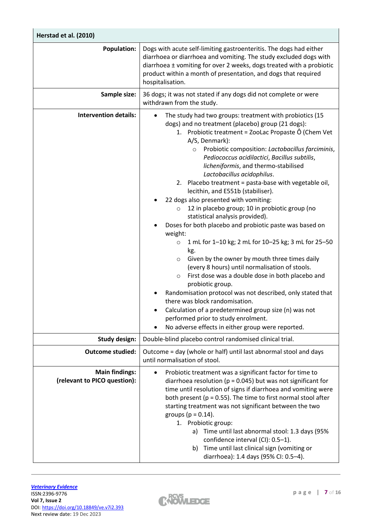| Herstad et al. (2010)                                 |                                                                                                                                                                                                                                                                                                                                                                                                                                                                                                                                                                                                                                                                                                                                                                                                                                                                                                                                                                                                                                                                                                                                                                                                                                      |
|-------------------------------------------------------|--------------------------------------------------------------------------------------------------------------------------------------------------------------------------------------------------------------------------------------------------------------------------------------------------------------------------------------------------------------------------------------------------------------------------------------------------------------------------------------------------------------------------------------------------------------------------------------------------------------------------------------------------------------------------------------------------------------------------------------------------------------------------------------------------------------------------------------------------------------------------------------------------------------------------------------------------------------------------------------------------------------------------------------------------------------------------------------------------------------------------------------------------------------------------------------------------------------------------------------|
| <b>Population:</b>                                    | Dogs with acute self-limiting gastroenteritis. The dogs had either<br>diarrhoea or diarrhoea and vomiting. The study excluded dogs with<br>diarrhoea ± vomiting for over 2 weeks, dogs treated with a probiotic<br>product within a month of presentation, and dogs that required<br>hospitalisation.                                                                                                                                                                                                                                                                                                                                                                                                                                                                                                                                                                                                                                                                                                                                                                                                                                                                                                                                |
| Sample size:                                          | 36 dogs; it was not stated if any dogs did not complete or were<br>withdrawn from the study.                                                                                                                                                                                                                                                                                                                                                                                                                                                                                                                                                                                                                                                                                                                                                                                                                                                                                                                                                                                                                                                                                                                                         |
| <b>Intervention details:</b>                          | The study had two groups: treatment with probiotics (15<br>dogs) and no treatment (placebo) group (21 dogs):<br>1. Probiotic treatment = ZooLac Propaste Ô (Chem Vet<br>A/S, Denmark):<br>Probiotic composition: Lactobacillus farciminis,<br>$\circ$<br>Pediococcus acidilactici, Bacillus subtilis,<br>licheniformis, and thermo-stabilised<br>Lactobacillus acidophilus.<br>2. Placebo treatment = pasta-base with vegetable oil,<br>lecithin, and E551b (stabiliser).<br>22 dogs also presented with vomiting:<br>12 in placebo group; 10 in probiotic group (no<br>$\circ$<br>statistical analysis provided).<br>Doses for both placebo and probiotic paste was based on<br>weight:<br>1 mL for 1-10 kg; 2 mL for 10-25 kg; 3 mL for 25-50<br>$\circ$<br>kg.<br>Given by the owner by mouth three times daily<br>$\circ$<br>(every 8 hours) until normalisation of stools.<br>First dose was a double dose in both placebo and<br>$\circ$<br>probiotic group.<br>Randomisation protocol was not described, only stated that<br>there was block randomisation.<br>Calculation of a predetermined group size (n) was not<br>performed prior to study enrolment.<br>No adverse effects in either group were reported.<br>$\bullet$ |
| <b>Study design:</b>                                  | Double-blind placebo control randomised clinical trial.                                                                                                                                                                                                                                                                                                                                                                                                                                                                                                                                                                                                                                                                                                                                                                                                                                                                                                                                                                                                                                                                                                                                                                              |
| <b>Outcome studied:</b>                               | Outcome = day (whole or half) until last abnormal stool and days<br>until normalisation of stool.                                                                                                                                                                                                                                                                                                                                                                                                                                                                                                                                                                                                                                                                                                                                                                                                                                                                                                                                                                                                                                                                                                                                    |
| <b>Main findings:</b><br>(relevant to PICO question): | Probiotic treatment was a significant factor for time to<br>$\bullet$<br>diarrhoea resolution ( $p = 0.045$ ) but was not significant for<br>time until resolution of signs if diarrhoea and vomiting were<br>both present ( $p = 0.55$ ). The time to first normal stool after<br>starting treatment was not significant between the two<br>groups ( $p = 0.14$ ).<br>1. Probiotic group:<br>Time until last abnormal stool: 1.3 days (95%<br>a)<br>confidence interval (CI): 0.5-1).<br>Time until last clinical sign (vomiting or<br>b)<br>diarrhoea): 1.4 days (95% CI: 0.5-4).                                                                                                                                                                                                                                                                                                                                                                                                                                                                                                                                                                                                                                                  |

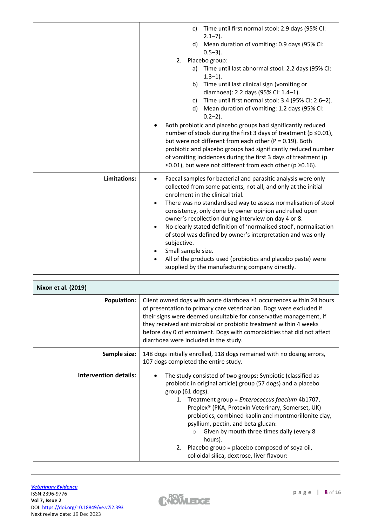|              | Time until first normal stool: 2.9 days (95% CI:<br>C)<br>$2.1 - 7$ ).<br>Mean duration of vomiting: 0.9 days (95% CI:<br>d)<br>$0.5 - 3$ ).<br>Placebo group:<br>2.<br>a) Time until last abnormal stool: 2.2 days (95% CI:<br>$1.3 - 1$ ).<br>b) Time until last clinical sign (vomiting or<br>diarrhoea): 2.2 days (95% Cl: 1.4-1).<br>Time until first normal stool: 3.4 (95% CI: 2.6-2).<br>C)<br>Mean duration of vomiting: 1.2 days (95% CI:<br>d)<br>$0.2 - 2$ ).<br>Both probiotic and placebo groups had significantly reduced<br>number of stools during the first 3 days of treatment (p ≤0.01),<br>but were not different from each other ( $P = 0.19$ ). Both<br>probiotic and placebo groups had significantly reduced number<br>of vomiting incidences during the first 3 days of treatment (p<br>$\leq$ 0.01), but were not different from each other (p $\geq$ 0.16). |
|--------------|-----------------------------------------------------------------------------------------------------------------------------------------------------------------------------------------------------------------------------------------------------------------------------------------------------------------------------------------------------------------------------------------------------------------------------------------------------------------------------------------------------------------------------------------------------------------------------------------------------------------------------------------------------------------------------------------------------------------------------------------------------------------------------------------------------------------------------------------------------------------------------------------|
| Limitations: | Faecal samples for bacterial and parasitic analysis were only<br>$\bullet$<br>collected from some patients, not all, and only at the initial<br>enrolment in the clinical trial.<br>There was no standardised way to assess normalisation of stool<br>$\bullet$<br>consistency, only done by owner opinion and relied upon<br>owner's recollection during interview on day 4 or 8.<br>No clearly stated definition of 'normalised stool', normalisation<br>$\bullet$<br>of stool was defined by owner's interpretation and was only<br>subjective.<br>Small sample size.<br>$\bullet$<br>All of the products used (probiotics and placebo paste) were<br>٠<br>supplied by the manufacturing company directly.                                                                                                                                                                           |

| Nixon et al. (2019)          |                                                                                                                                                                                                                                                                                                                                                                                                                                                                                                                                                 |
|------------------------------|-------------------------------------------------------------------------------------------------------------------------------------------------------------------------------------------------------------------------------------------------------------------------------------------------------------------------------------------------------------------------------------------------------------------------------------------------------------------------------------------------------------------------------------------------|
| <b>Population:</b>           | Client owned dogs with acute diarrhoea ≥1 occurrences within 24 hours<br>of presentation to primary care veterinarian. Dogs were excluded if<br>their signs were deemed unsuitable for conservative management, if<br>they received antimicrobial or probiotic treatment within 4 weeks<br>before day 0 of enrolment. Dogs with comorbidities that did not affect<br>diarrhoea were included in the study.                                                                                                                                      |
| Sample size:                 | 148 dogs initially enrolled, 118 dogs remained with no dosing errors,<br>107 dogs completed the entire study.                                                                                                                                                                                                                                                                                                                                                                                                                                   |
| <b>Intervention details:</b> | The study consisted of two groups: Synbiotic (classified as<br>probiotic in original article) group (57 dogs) and a placebo<br>group (61 dogs).<br>Treatment group = Enterococcus faecium 4b1707,<br>1.<br>Preplex <sup>®</sup> (PKA, Protexin Veterinary, Somerset, UK)<br>prebiotics, combined kaolin and montmorillonite clay,<br>psyllium, pectin, and beta glucan:<br>Given by mouth three times daily (every 8<br>$\circ$<br>hours).<br>Placebo group = placebo composed of soya oil,<br>2.<br>colloidal silica, dextrose, liver flavour: |

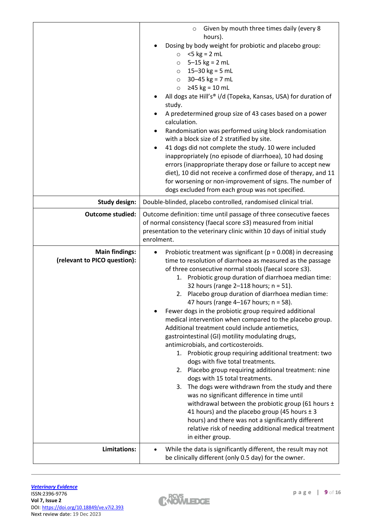|                                                       | Given by mouth three times daily (every 8<br>$\circ$                                                                                                                                                                                                                                                                                                                                                                                                                                                                                                                                                                                                                                                                                                                                                                                                                                                                                                                                                                                                                                                                                                                                                                         |
|-------------------------------------------------------|------------------------------------------------------------------------------------------------------------------------------------------------------------------------------------------------------------------------------------------------------------------------------------------------------------------------------------------------------------------------------------------------------------------------------------------------------------------------------------------------------------------------------------------------------------------------------------------------------------------------------------------------------------------------------------------------------------------------------------------------------------------------------------------------------------------------------------------------------------------------------------------------------------------------------------------------------------------------------------------------------------------------------------------------------------------------------------------------------------------------------------------------------------------------------------------------------------------------------|
|                                                       | hours).<br>Dosing by body weight for probiotic and placebo group:<br>$\circ$ <5 kg = 2 mL<br>$5 - 15$ kg = 2 mL<br>$\circ$<br>15-30 $kg = 5 mL$<br>$\circ$<br>$30 - 45$ kg = 7 mL<br>$\circ$<br>≥45 kg = 10 mL<br>$\circ$<br>All dogs ate Hill's® i/d (Topeka, Kansas, USA) for duration of<br>study.<br>A predetermined group size of 43 cases based on a power<br>calculation.<br>Randomisation was performed using block randomisation<br>$\bullet$<br>with a block size of 2 stratified by site.<br>41 dogs did not complete the study. 10 were included<br>$\bullet$                                                                                                                                                                                                                                                                                                                                                                                                                                                                                                                                                                                                                                                    |
|                                                       | inappropriately (no episode of diarrhoea), 10 had dosing<br>errors (inappropriate therapy dose or failure to accept new<br>diet), 10 did not receive a confirmed dose of therapy, and 11<br>for worsening or non-improvement of signs. The number of<br>dogs excluded from each group was not specified.                                                                                                                                                                                                                                                                                                                                                                                                                                                                                                                                                                                                                                                                                                                                                                                                                                                                                                                     |
| <b>Study design:</b>                                  | Double-blinded, placebo controlled, randomised clinical trial.                                                                                                                                                                                                                                                                                                                                                                                                                                                                                                                                                                                                                                                                                                                                                                                                                                                                                                                                                                                                                                                                                                                                                               |
| <b>Outcome studied:</b>                               | Outcome definition: time until passage of three consecutive faeces<br>of normal consistency (faecal score ≤3) measured from initial<br>presentation to the veterinary clinic within 10 days of initial study<br>enrolment.                                                                                                                                                                                                                                                                                                                                                                                                                                                                                                                                                                                                                                                                                                                                                                                                                                                                                                                                                                                                   |
| <b>Main findings:</b><br>(relevant to PICO question): | Probiotic treatment was significant ( $p = 0.008$ ) in decreasing<br>time to resolution of diarrhoea as measured as the passage<br>of three consecutive normal stools (faecal score ≤3).<br>1. Probiotic group duration of diarrhoea median time:<br>32 hours (range $2-118$ hours; $n = 51$ ).<br>2. Placebo group duration of diarrhoea median time:<br>47 hours (range $4-167$ hours; $n = 58$ ).<br>Fewer dogs in the probiotic group required additional<br>medical intervention when compared to the placebo group.<br>Additional treatment could include antiemetics,<br>gastrointestinal (GI) motility modulating drugs,<br>antimicrobials, and corticosteroids.<br>1. Probiotic group requiring additional treatment: two<br>dogs with five total treatments.<br>2. Placebo group requiring additional treatment: nine<br>dogs with 15 total treatments.<br>The dogs were withdrawn from the study and there<br>3.<br>was no significant difference in time until<br>withdrawal between the probiotic group (61 hours $\pm$<br>41 hours) and the placebo group (45 hours $\pm$ 3<br>hours) and there was not a significantly different<br>relative risk of needing additional medical treatment<br>in either group. |
| Limitations:                                          | While the data is significantly different, the result may not<br>be clinically different (only 0.5 day) for the owner.                                                                                                                                                                                                                                                                                                                                                                                                                                                                                                                                                                                                                                                                                                                                                                                                                                                                                                                                                                                                                                                                                                       |

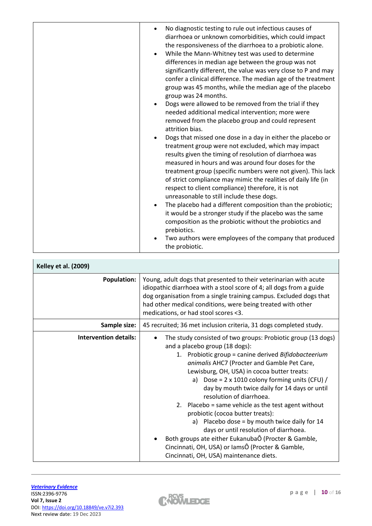| No diagnostic testing to rule out infectious causes of<br>diarrhoea or unknown comorbidities, which could impact<br>the responsiveness of the diarrhoea to a probiotic alone.<br>While the Mann-Whitney test was used to determine<br>differences in median age between the group was not<br>significantly different, the value was very close to P and may<br>confer a clinical difference. The median age of the treatment<br>group was 45 months, while the median age of the placebo<br>group was 24 months.<br>Dogs were allowed to be removed from the trial if they<br>needed additional medical intervention; more were<br>removed from the placebo group and could represent<br>attrition bias.<br>Dogs that missed one dose in a day in either the placebo or<br>treatment group were not excluded, which may impact<br>results given the timing of resolution of diarrhoea was<br>measured in hours and was around four doses for the<br>treatment group (specific numbers were not given). This lack<br>of strict compliance may mimic the realities of daily life (in<br>respect to client compliance) therefore, it is not<br>unreasonable to still include these dogs.<br>The placebo had a different composition than the probiotic;<br>it would be a stronger study if the placebo was the same<br>composition as the probiotic without the probiotics and<br>prebiotics. |
|--------------------------------------------------------------------------------------------------------------------------------------------------------------------------------------------------------------------------------------------------------------------------------------------------------------------------------------------------------------------------------------------------------------------------------------------------------------------------------------------------------------------------------------------------------------------------------------------------------------------------------------------------------------------------------------------------------------------------------------------------------------------------------------------------------------------------------------------------------------------------------------------------------------------------------------------------------------------------------------------------------------------------------------------------------------------------------------------------------------------------------------------------------------------------------------------------------------------------------------------------------------------------------------------------------------------------------------------------------------------------------------------|
| Two authors were employees of the company that produced<br>the probiotic.                                                                                                                                                                                                                                                                                                                                                                                                                                                                                                                                                                                                                                                                                                                                                                                                                                                                                                                                                                                                                                                                                                                                                                                                                                                                                                                  |

| <b>Kelley et al. (2009)</b>  |                                                                                                                                                                                                                                                                                                                                                                                                                                                                                                                                                                                                                                                                                                                                           |
|------------------------------|-------------------------------------------------------------------------------------------------------------------------------------------------------------------------------------------------------------------------------------------------------------------------------------------------------------------------------------------------------------------------------------------------------------------------------------------------------------------------------------------------------------------------------------------------------------------------------------------------------------------------------------------------------------------------------------------------------------------------------------------|
| <b>Population:</b>           | Young, adult dogs that presented to their veterinarian with acute<br>idiopathic diarrhoea with a stool score of 4; all dogs from a guide<br>dog organisation from a single training campus. Excluded dogs that<br>had other medical conditions, were being treated with other<br>medications, or had stool scores <3.                                                                                                                                                                                                                                                                                                                                                                                                                     |
| Sample size:                 | 45 recruited; 36 met inclusion criteria, 31 dogs completed study.                                                                                                                                                                                                                                                                                                                                                                                                                                                                                                                                                                                                                                                                         |
| <b>Intervention details:</b> | The study consisted of two groups: Probiotic group (13 dogs)<br>and a placebo group (18 dogs):<br>1. Probiotic group = canine derived Bifidobacteerium<br>animalis AHC7 (Procter and Gamble Pet Care,<br>Lewisburg, OH, USA) in cocoa butter treats:<br>a) Dose = $2 \times 1010$ colony forming units (CFU) /<br>day by mouth twice daily for 14 days or until<br>resolution of diarrhoea.<br>2. Placebo = same vehicle as the test agent without<br>probiotic (cocoa butter treats):<br>a) Placebo dose = by mouth twice daily for $14$<br>days or until resolution of diarrhoea.<br>Both groups ate either EukanubaÔ (Procter & Gamble,<br>Cincinnati, OH, USA) or lamsÔ (Procter & Gamble,<br>Cincinnati, OH, USA) maintenance diets. |

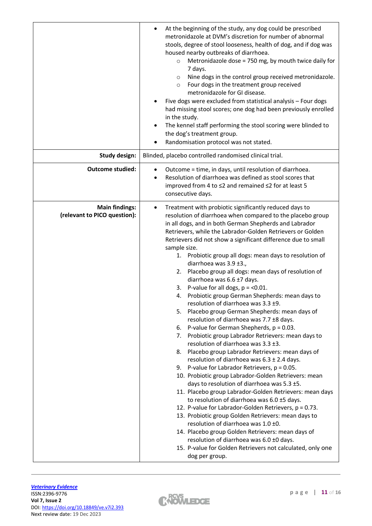|                                                       | At the beginning of the study, any dog could be prescribed<br>metronidazole at DVM's discretion for number of abnormal<br>stools, degree of stool looseness, health of dog, and if dog was<br>housed nearby outbreaks of diarrhoea.<br>Metronidazole dose = 750 mg, by mouth twice daily for<br>$\circ$<br>7 days.<br>Nine dogs in the control group received metronidazole.<br>$\circ$<br>Four dogs in the treatment group received<br>$\circ$<br>metronidazole for GI disease.<br>Five dogs were excluded from statistical analysis - Four dogs<br>had missing stool scores; one dog had been previously enrolled<br>in the study.<br>The kennel staff performing the stool scoring were blinded to<br>$\bullet$<br>the dog's treatment group.<br>Randomisation protocol was not stated.                                                                                                                                                                                                                                                                                                                                                                                                                                                                                                                                                                                                                                                                                                                                                                                                                                                       |
|-------------------------------------------------------|--------------------------------------------------------------------------------------------------------------------------------------------------------------------------------------------------------------------------------------------------------------------------------------------------------------------------------------------------------------------------------------------------------------------------------------------------------------------------------------------------------------------------------------------------------------------------------------------------------------------------------------------------------------------------------------------------------------------------------------------------------------------------------------------------------------------------------------------------------------------------------------------------------------------------------------------------------------------------------------------------------------------------------------------------------------------------------------------------------------------------------------------------------------------------------------------------------------------------------------------------------------------------------------------------------------------------------------------------------------------------------------------------------------------------------------------------------------------------------------------------------------------------------------------------------------------------------------------------------------------------------------------------|
| <b>Study design:</b>                                  | Blinded, placebo controlled randomised clinical trial.                                                                                                                                                                                                                                                                                                                                                                                                                                                                                                                                                                                                                                                                                                                                                                                                                                                                                                                                                                                                                                                                                                                                                                                                                                                                                                                                                                                                                                                                                                                                                                                           |
| <b>Outcome studied:</b>                               | Outcome = time, in days, until resolution of diarrhoea.<br>Resolution of diarrhoea was defined as stool scores that<br>$\bullet$<br>improved from 4 to ≤2 and remained ≤2 for at least 5<br>consecutive days.                                                                                                                                                                                                                                                                                                                                                                                                                                                                                                                                                                                                                                                                                                                                                                                                                                                                                                                                                                                                                                                                                                                                                                                                                                                                                                                                                                                                                                    |
| <b>Main findings:</b><br>(relevant to PICO question): | Treatment with probiotic significantly reduced days to<br>٠<br>resolution of diarrhoea when compared to the placebo group<br>in all dogs, and in both German Shepherds and Labrador<br>Retrievers, while the Labrador-Golden Retrievers or Golden<br>Retrievers did not show a significant difference due to small<br>sample size.<br>1. Probiotic group all dogs: mean days to resolution of<br>diarrhoea was $3.9 \pm 3.$<br>Placebo group all dogs: mean days of resolution of<br>2.<br>diarrhoea was 6.6 ±7 days.<br>3. P-value for all dogs, $p = 0.01$ .<br>4. Probiotic group German Shepherds: mean days to<br>resolution of diarrhoea was 3.3 ±9.<br>Placebo group German Shepherds: mean days of<br>5.<br>resolution of diarrhoea was 7.7 ±8 days.<br>P-value for German Shepherds, $p = 0.03$ .<br>6.<br>Probiotic group Labrador Retrievers: mean days to<br>7.<br>resolution of diarrhoea was 3.3 ±3.<br>Placebo group Labrador Retrievers: mean days of<br>8.<br>resolution of diarrhoea was $6.3 \pm 2.4$ days.<br>9. P-value for Labrador Retrievers, $p = 0.05$ .<br>10. Probiotic group Labrador-Golden Retrievers: mean<br>days to resolution of diarrhoea was 5.3 ±5.<br>11. Placebo group Labrador-Golden Retrievers: mean days<br>to resolution of diarrhoea was $6.0 \pm 5$ days.<br>12. P-value for Labrador-Golden Retrievers, p = 0.73.<br>13. Probiotic group Golden Retrievers: mean days to<br>resolution of diarrhoea was 1.0 ±0.<br>14. Placebo group Golden Retrievers: mean days of<br>resolution of diarrhoea was 6.0 ±0 days.<br>15. P-value for Golden Retrievers not calculated, only one<br>dog per group. |

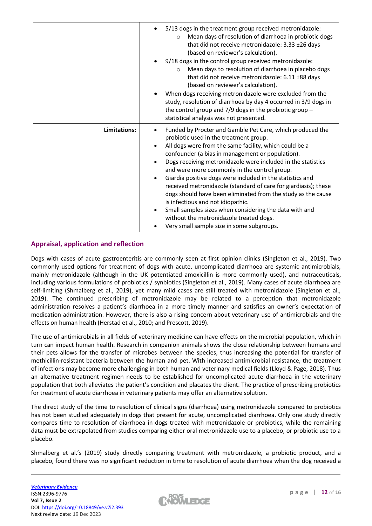|              | 5/13 dogs in the treatment group received metronidazole:<br>Mean days of resolution of diarrhoea in probiotic dogs<br>$\circ$<br>that did not receive metronidazole: 3.33 ±26 days<br>(based on reviewer's calculation).<br>9/18 dogs in the control group received metronidazole:<br>Mean days to resolution of diarrhoea in placebo dogs<br>$\circ$<br>that did not receive metronidazole: 6.11 ±88 days<br>(based on reviewer's calculation).<br>When dogs receiving metronidazole were excluded from the<br>study, resolution of diarrhoea by day 4 occurred in 3/9 dogs in<br>the control group and $7/9$ dogs in the probiotic group -<br>statistical analysis was not presented.                                                    |
|--------------|--------------------------------------------------------------------------------------------------------------------------------------------------------------------------------------------------------------------------------------------------------------------------------------------------------------------------------------------------------------------------------------------------------------------------------------------------------------------------------------------------------------------------------------------------------------------------------------------------------------------------------------------------------------------------------------------------------------------------------------------|
| Limitations: | Funded by Procter and Gamble Pet Care, which produced the<br>٠<br>probiotic used in the treatment group.<br>All dogs were from the same facility, which could be a<br>confounder (a bias in management or population).<br>Dogs receiving metronidazole were included in the statistics<br>and were more commonly in the control group.<br>Giardia positive dogs were included in the statistics and<br>$\bullet$<br>received metronidazole (standard of care for giardiasis); these<br>dogs should have been eliminated from the study as the cause<br>is infectious and not idiopathic.<br>Small samples sizes when considering the data with and<br>without the metronidazole treated dogs.<br>Very small sample size in some subgroups. |

## **Appraisal, application and reflection**

Dogs with cases of acute gastroenteritis are commonly seen at first opinion clinics (Singleton et al., 2019). Two commonly used options for treatment of dogs with acute, uncomplicated diarrhoea are systemic antimicrobials, mainly metronidazole (although in the UK potentiated amoxicillin is more commonly used), and nutraceuticals, including various formulations of probiotics / synbiotics (Singleton et al., 2019). Many cases of acute diarrhoea are self-limiting (Shmalberg et al., 2019), yet many mild cases are still treated with metronidazole (Singleton et al., 2019). The continued prescribing of metronidazole may be related to a perception that metronidazole administration resolves a patient's diarrhoea in a more timely manner and satisfies an owner's expectation of medication administration. However, there is also a rising concern about veterinary use of antimicrobials and the effects on human health (Herstad et al., 2010; and Prescott, 2019).

The use of antimicrobials in all fields of veterinary medicine can have effects on the microbial population, which in turn can impact human health. Research in companion animals shows the close relationship between humans and their pets allows for the transfer of microbes between the species, thus increasing the potential for transfer of methicillin-resistant bacteria between the human and pet. With increased antimicrobial resistance, the treatment of infections may become more challenging in both human and veterinary medical fields (Lloyd & Page, 2018). Thus an alternative treatment regimen needs to be established for uncomplicated acute diarrhoea in the veterinary population that both alleviates the patient's condition and placates the client. The practice of prescribing probiotics for treatment of acute diarrhoea in veterinary patients may offer an alternative solution.

The direct study of the time to resolution of clinical signs (diarrhoea) using metronidazole compared to probiotics has not been studied adequately in dogs that present for acute, uncomplicated diarrhoea. Only one study directly compares time to resolution of diarrhoea in dogs treated with metronidazole or probiotics, while the remaining data must be extrapolated from studies comparing either oral metronidazole use to a placebo, or probiotic use to a placebo.

Shmalberg et al.'s (2019) study directly comparing treatment with metronidazole, a probiotic product, and a placebo, found there was no significant reduction in time to resolution of acute diarrhoea when the dog received a

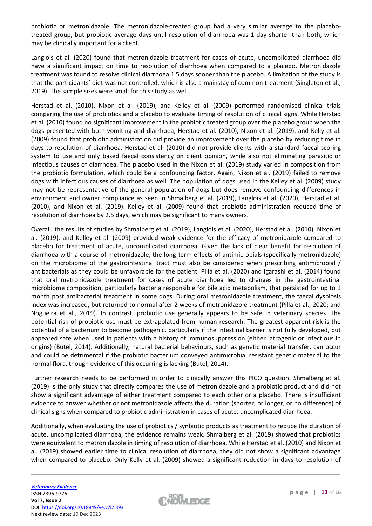probiotic or metronidazole. The metronidazole-treated group had a very similar average to the placebotreated group, but probiotic average days until resolution of diarrhoea was 1 day shorter than both, which may be clinically important for a client.

Langlois et al. (2020) found that metronidazole treatment for cases of acute, uncomplicated diarrhoea did have a significant impact on time to resolution of diarrhoea when compared to a placebo. Metronidazole treatment was found to resolve clinical diarrhoea 1.5 days sooner than the placebo. A limitation of the study is that the participants' diet was not controlled, which is also a mainstay of common treatment (Singleton et al., 2019). The sample sizes were small for this study as well.

Herstad et al. (2010), Nixon et al. (2019), and Kelley et al. (2009) performed randomised clinical trials comparing the use of probiotics and a placebo to evaluate timing of resolution of clinical signs. While Herstad et al. (2010) found no significant improvement in the probiotic treated group over the placebo group when the dogs presented with both vomiting and diarrhoea, Herstad et al. (2010), Nixon et al. (2019), and Kelly et al. (2009) found that probiotic administration did provide an improvement over the placebo by reducing time in days to resolution of diarrhoea. Herstad et al. (2010) did not provide clients with a standard faecal scoring system to use and only based faecal consistency on client opinion, while also not eliminating parasitic or infectious causes of diarrhoea. The placebo used in the Nixon et al. (2019) study varied in composition from the probiotic formulation, which could be a confounding factor. Again, Nixon et al. (2019) failed to remove dogs with infectious causes of diarrhoea as well. The population of dogs used in the Kelley et al. (2009) study may not be representative of the general population of dogs but does remove confounding differences in environment and owner compliance as seen in Shmalberg et al. (2019), Langlois et al. (2020), Herstad et al. (2010), and Nixon et al. (2019). Kelley et al. (2009) found that probiotic administration reduced time of resolution of diarrhoea by 2.5 days, which may be significant to many owners.

Overall, the results of studies by Shmalberg et al. (2019), Langlois et al. (2020), Herstad et al. (2010), Nixon et al. (2019), and Kelley et al. (2009) provided weak evidence for the efficacy of metronidazole compared to placebo for treatment of acute, uncomplicated diarrhoea. Given the lack of clear benefit for resolution of diarrhoea with a course of metronidazole, the long-term effects of antimicrobials (specifically metronidazole) on the microbiome of the gastrointestinal tract must also be considered when prescribing antimicrobial / antibacterials as they could be unfavorable for the patient. Pilla et al. (2020) and Igarashi et al. (2014) found that oral metronidazole treatment for cases of acute diarrhoea led to changes in the gastrointestinal microbiome composition, particularly bacteria responsible for bile acid metabolism, that persisted for up to 1 month post antibacterial treatment in some dogs. During oral metronidazole treatment, the faecal dysbiosis index was increased, but returned to normal after 2 weeks of metronidazole treatment (Pilla et al., 2020; and Nogueira et al., 2019). In contrast, probiotic use generally appears to be safe in veterinary species. The potential risk of probiotic use must be extrapolated from human research. The greatest apparent risk is the potential of a bacterium to become pathogenic, particularly if the intestinal barrier is not fully developed, but appeared safe when used in patients with a history of immunosuppression (either iatrogenic or infectious in origins) (Butel, 2014). Additionally, natural bacterial behaviours, such as genetic material transfer, can occur and could be detrimental if the probiotic bacterium conveyed antimicrobial resistant genetic material to the normal flora, though evidence of this occurring is lacking (Butel, 2014).

Further research needs to be performed in order to clinically answer this PICO question. Shmalberg et al. (2019) is the only study that directly compares the use of metronidazole and a probiotic product and did not show a significant advantage of either treatment compared to each other or a placebo. There is insufficient evidence to answer whether or not metronidazole affects the duration (shorter, or longer, or no difference) of clinical signs when compared to probiotic administration in cases of acute, uncomplicated diarrhoea.

Additionally, when evaluating the use of probiotics / synbiotic products as treatment to reduce the duration of acute, uncomplicated diarrhoea, the evidence remains weak. Shmalberg et al. (2019) showed that probiotics were equivalent to metronidazole in timing of resolution of diarrhoea. While Herstad et al. (2010) and Nixon et al. (2019) showed earlier time to clinical resolution of diarrhoea, they did not show a significant advantage when compared to placebo. Only Kelly et al. (2009) showed a significant reduction in days to resolution of

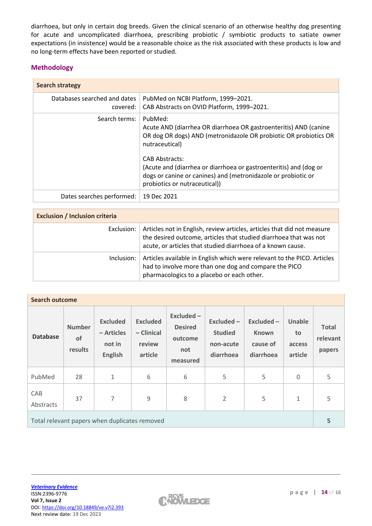diarrhoea, but only in certain dog breeds. Given the clinical scenario of an otherwise healthy dog presenting for acute and uncomplicated diarrhoea, prescribing probiotic / symbiotic products to satiate owner expectations (in insistence) would be a reasonable choice as the risk associated with these products is low and no long-term effects have been reported or studied.

## **Methodology**

| <b>Search strategy</b>                   |                                                                                                                                                                                                                                                                                                                                                                   |  |  |  |  |  |
|------------------------------------------|-------------------------------------------------------------------------------------------------------------------------------------------------------------------------------------------------------------------------------------------------------------------------------------------------------------------------------------------------------------------|--|--|--|--|--|
| Databases searched and dates<br>covered: | PubMed on NCBI Platform, 1999-2021.<br>CAB Abstracts on OVID Platform, 1999-2021.                                                                                                                                                                                                                                                                                 |  |  |  |  |  |
| Search terms:                            | PubMed:<br>Acute AND (diarrhea OR diarrhoea OR gastroenteritis) AND (canine<br>OR dog OR dogs) AND (metronidazole OR probiotic OR probiotics OR<br>nutraceutical)<br><b>CAB Abstracts:</b><br>(Acute and (diarrhea or diarrhoea or gastroenteritis) and (dog or<br>dogs or canine or canines) and (metronidazole or probiotic or<br>probiotics or nutraceutical)) |  |  |  |  |  |
| Dates searches performed:                | 19 Dec 2021                                                                                                                                                                                                                                                                                                                                                       |  |  |  |  |  |

| <b>Exclusion / Inclusion criteria</b> |                                                                                                                                                                                                             |  |  |  |  |  |
|---------------------------------------|-------------------------------------------------------------------------------------------------------------------------------------------------------------------------------------------------------------|--|--|--|--|--|
| Exclusion:                            | Articles not in English, review articles, articles that did not measure<br>the desired outcome, articles that studied diarrhoea that was not<br>acute, or articles that studied diarrhoea of a known cause. |  |  |  |  |  |
| Inclusion:                            | Articles available in English which were relevant to the PICO. Articles<br>had to involve more than one dog and compare the PICO<br>pharmacologics to a placebo or each other.                              |  |  |  |  |  |

| <b>Search outcome</b>                         |                                |                                                           |                                                    |                                                           |                                                       |                                                       |                                   |                                    |  |  |  |
|-----------------------------------------------|--------------------------------|-----------------------------------------------------------|----------------------------------------------------|-----------------------------------------------------------|-------------------------------------------------------|-------------------------------------------------------|-----------------------------------|------------------------------------|--|--|--|
| <b>Database</b>                               | <b>Number</b><br>of<br>results | <b>Excluded</b><br>– Articles<br>not in<br><b>English</b> | <b>Excluded</b><br>- Clinical<br>review<br>article | Excluded-<br><b>Desired</b><br>outcome<br>not<br>measured | Excluded-<br><b>Studied</b><br>non-acute<br>diarrhoea | $Excluded -$<br><b>Known</b><br>cause of<br>diarrhoea | Unable<br>to<br>access<br>article | <b>Total</b><br>relevant<br>papers |  |  |  |
| PubMed                                        | 28                             | $\mathbf{1}$                                              | 6                                                  | 6                                                         | 5                                                     | 5                                                     | $\mathbf 0$                       | 5                                  |  |  |  |
| CAB<br>Abstracts                              | 37                             | 7                                                         | $\mathsf 9$                                        | 8                                                         | $\overline{2}$                                        | 5                                                     | 1                                 | 5                                  |  |  |  |
| Total relevant papers when duplicates removed |                                |                                                           |                                                    |                                                           |                                                       |                                                       |                                   |                                    |  |  |  |

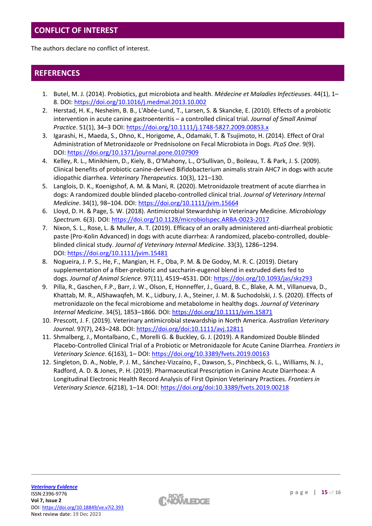# **CONFLICT OF INTEREST**

The authors declare no conflict of interest.

## **REFERENCES**

- 1. Butel, M. J. (2014). Probiotics, gut microbiota and health. *Médecine et Maladies Infectieuses.* 44(1), 1– 8. DOI: <https://doi.org/10.1016/j.medmal.2013.10.002>
- 2. Herstad, H. K., Nesheim, B. B., L'Abée-Lund, T., Larsen, S. & Skancke, E. (2010). Effects of a probiotic intervention in acute canine gastroenteritis – a controlled clinical trial. *Journal of Small Animal Practice*. 51(1), 34–3 DOI: <https://doi.org/10.1111/j.1748-5827.2009.00853.x>
- 3. Igarashi, H., Maeda, S., Ohno, K., Horigome, A., Odamaki, T. & Tsujimoto, H. (2014). Effect of Oral Administration of Metronidazole or Prednisolone on Fecal Microbiota in Dogs. *PLoS One*. 9(9). DOI: <https://doi.org/10.1371/journal.pone.0107909>
- 4. Kelley, R. L., Minikhiem, D., Kiely, B., O'Mahony, L., O'Sullivan, D., Boileau, T. & Park, J. S. (2009). Clinical benefits of probiotic canine-derived Bifidobacterium animalis strain AHC7 in dogs with acute idiopathic diarrhea. *Veterinary Therapeutics*. 10(3), 121–130.
- 5. Langlois, D. K., Koenigshof, A. M. & Mani, R. (2020). Metronidazole treatment of acute diarrhea in dogs: A randomized double blinded placebo-controlled clinical trial. *Journal of Veterinary Internal Medicine*. 34(1), 98–104. DOI: <https://doi.org/10.1111/jvim.15664>
- 6. Lloyd, D. H. & Page, S. W. (2018). Antimicrobial Stewardship in Veterinary Medicine. *Microbiology Spectrum*. 6(3). DOI: <https://doi.org/10.1128/microbiolspec.ARBA-0023-2017>
- 7. Nixon, S. L., Rose, L. & Muller, A. T. (2019). Efficacy of an orally administered anti-diarrheal probiotic paste (Pro-Kolin Advanced) in dogs with acute diarrhea: A randomized, placebo-controlled, doubleblinded clinical study. *Journal of Veterinary Internal Medicine*. 33(3), 1286–1294. DOI: <https://doi.org/10.1111/jvim.15481>
- 8. Nogueira, J. P. S., He, F., Mangian, H. F., Oba, P. M. & De Godoy, M. R. C. (2019). Dietary supplementation of a fiber-prebiotic and saccharin-eugenol blend in extruded diets fed to dogs. *Journal of Animal Science*. 97(11), 4519–4531. DOI: <https://doi.org/10.1093/jas/skz293>
- 9. Pilla, R., Gaschen, F.P., Barr, J. W., Olson, E, Honneffer, J., Guard, B. C., Blake, A. M., Villanueva, D., Khattab, M. R., AlShawaqfeh, M. K., Lidbury, J. A., Steiner, J. M. & Suchodolski, J. S. (2020). Effects of metronidazole on the fecal microbiome and metabolome in healthy dogs. *Journal of Veterinary Internal Medicine*. 34(5), 1853–1866. DOI: <https://doi.org/10.1111/jvim.15871>
- 10. Prescott, J. F. (2019). Veterinary antimicrobial stewardship in North America. *Australian Veterinary Journal*. 97(7), 243–248. DOI: <https://doi.org/doi:10.1111/avj.12811>
- 11. Shmalberg, J., Montalbano, C., Morelli G. & Buckley, G. J. (2019). A Randomized Double Blinded Placebo-Controlled Clinical Trial of a Probiotic or Metronidazole for Acute Canine Diarrhea. *Frontiers in Veterinary Science*. 6(163), 1– DOI: <https://doi.org/10.3389/fvets.2019.00163>
- 12. Singleton, D. A., Noble, P. J. M., Sánchez-Vizcaíno, F., Dawson, S., Pinchbeck, G. L., Williams, N. J., Radford, A. D. & Jones, P. H. (2019). Pharmaceutical Prescription in Canine Acute Diarrhoea: A Longitudinal Electronic Health Record Analysis of First Opinion Veterinary Practices. *Frontiers in Veterinary Science*. 6(218), 1–14. DOI: <https://doi.org/doi:10.3389/fvets.2019.00218>